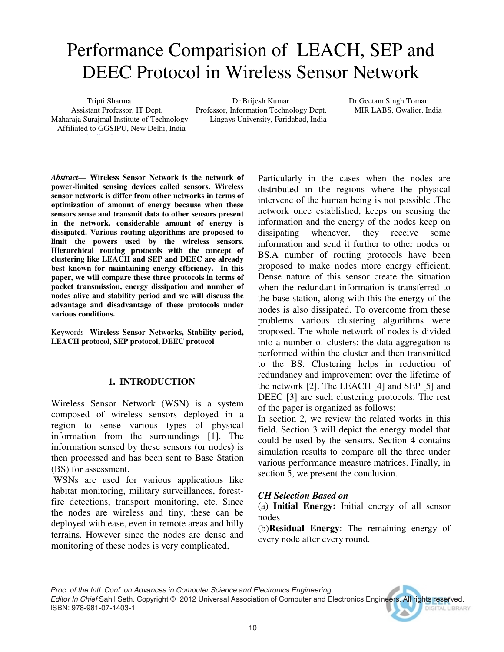# Performance Comparision of LEACH, SEP and DEEC Protocol in Wireless Sensor Network

Maharaja Surajmal Institute of Technology Lingays University, Faridabad, India Affiliated to GGSIPU, New Delhi, India

 Tripti Sharma Dr.Brijesh Kumar Dr.Geetam Singh Tomar Assistant Professor, IT Dept. Professor, Information Technology Dept. MIR LABS, Gwalior, India

*Abstract***— Wireless Sensor Network is the network of power-limited sensing devices called sensors. Wireless sensor network is differ from other networks in terms of optimization of amount of energy because when these sensors sense and transmit data to other sensors present in the network, considerable amount of energy is dissipated. Various routing algorithms are proposed to limit the powers used by the wireless sensors. Hierarchical routing protocols with the concept of clustering like LEACH and SEP and DEEC are already best known for maintaining energy efficiency. In this paper, we will compare these three protocols in terms of packet transmission, energy dissipation and number of nodes alive and stability period and we will discuss the advantage and disadvantage of these protocols under various conditions.** 

Keywords- **Wireless Sensor Networks, Stability period, LEACH protocol, SEP protocol, DEEC protocol**

#### **1. INTRODUCTION**

Wireless Sensor Network (WSN) is a system composed of wireless sensors deployed in a region to sense various types of physical information from the surroundings [1]. The information sensed by these sensors (or nodes) is then processed and has been sent to Base Station (BS) for assessment.

 WSNs are used for various applications like habitat monitoring, military surveillances, forestfire detections, transport monitoring, etc. Since the nodes are wireless and tiny, these can be deployed with ease, even in remote areas and hilly terrains. However since the nodes are dense and monitoring of these nodes is very complicated,

Particularly in the cases when the nodes are distributed in the regions where the physical intervene of the human being is not possible .The network once established, keeps on sensing the information and the energy of the nodes keep on dissipating whenever, they receive some information and send it further to other nodes or BS.A number of routing protocols have been proposed to make nodes more energy efficient. Dense nature of this sensor create the situation when the redundant information is transferred to the base station, along with this the energy of the nodes is also dissipated. To overcome from these problems various clustering algorithms were proposed. The whole network of nodes is divided into a number of clusters; the data aggregation is performed within the cluster and then transmitted to the BS. Clustering helps in reduction of redundancy and improvement over the lifetime of the network [2]. The LEACH [4] and SEP [5] and DEEC [3] are such clustering protocols. The rest of the paper is organized as follows:

In section 2, we review the related works in this field. Section 3 will depict the energy model that could be used by the sensors. Section 4 contains simulation results to compare all the three under various performance measure matrices. Finally, in section 5, we present the conclusion.

#### *CH Selection Based on*

(a) **Initial Energy:** Initial energy of all sensor nodes

(b)**Residual Energy**: The remaining energy of every node after every round.

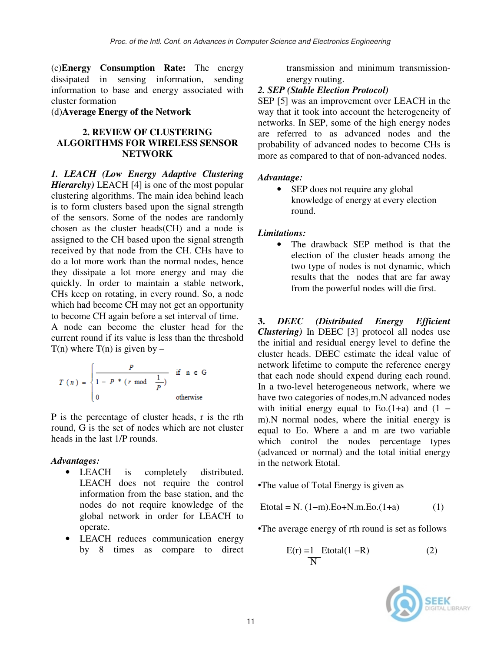(c)**Energy Consumption Rate:** The energy dissipated in sensing information, sending information to base and energy associated with cluster formation

(d)**Average Energy of the Network**

#### **2. REVIEW OF CLUSTERING ALGORITHMS FOR WIRELESS SENSOR NETWORK**

*1. LEACH (Low Energy Adaptive Clustering Hierarchy*) LEACH [4] is one of the most popular clustering algorithms. The main idea behind leach is to form clusters based upon the signal strength of the sensors. Some of the nodes are randomly chosen as the cluster heads(CH) and a node is assigned to the CH based upon the signal strength received by that node from the CH. CHs have to do a lot more work than the normal nodes, hence they dissipate a lot more energy and may die quickly. In order to maintain a stable network, CHs keep on rotating, in every round. So, a node which had become CH may not get an opportunity to become CH again before a set interval of time.

A node can become the cluster head for the current round if its value is less than the threshold  $T(n)$  where  $T(n)$  is given by –

$$
T(n) = \begin{cases} \frac{P}{1 - P * (r \mod \frac{1}{P})} & \text{if } n \in G \\ 0 & \text{otherwise} \end{cases}
$$

P is the percentage of cluster heads, r is the rth round, G is the set of nodes which are not cluster heads in the last 1/P rounds.

#### *Advantages:*

- LEACH is completely distributed. LEACH does not require the control information from the base station, and the nodes do not require knowledge of the global network in order for LEACH to operate.
- LEACH reduces communication energy by 8 times as compare to direct

transmission and minimum transmissionenergy routing.

#### *2. SEP (Stable Election Protocol)*

SEP [5] was an improvement over LEACH in the way that it took into account the heterogeneity of networks. In SEP, some of the high energy nodes are referred to as advanced nodes and the probability of advanced nodes to become CHs is more as compared to that of non-advanced nodes.

#### *Advantage:*

• SEP does not require any global knowledge of energy at every election round.

#### *Limitations:*

• The drawback SEP method is that the election of the cluster heads among the two type of nodes is not dynamic, which results that the nodes that are far away from the powerful nodes will die first.

**3.** *DEEC (Distributed Energy Efficient Clustering)* In DEEC [3] protocol all nodes use the initial and residual energy level to define the cluster heads. DEEC estimate the ideal value of network lifetime to compute the reference energy that each node should expend during each round. In a two-level heterogeneous network, where we have two categories of nodes,m.N advanced nodes with initial energy equal to Eo. $(1+a)$  and  $(1$ m).N normal nodes, where the initial energy is equal to Eo. Where a and m are two variable which control the nodes percentage types (advanced or normal) and the total initial energy in the network Etotal.

•The value of Total Energy is given as

$$
Etotal = N. (1-m). Eo+N.m.Eo.(1+a)
$$
 (1)

•The average energy of rth round is set as follows

$$
E(r) = 1 \text{Etotal}(1 - R)
$$
 (2)

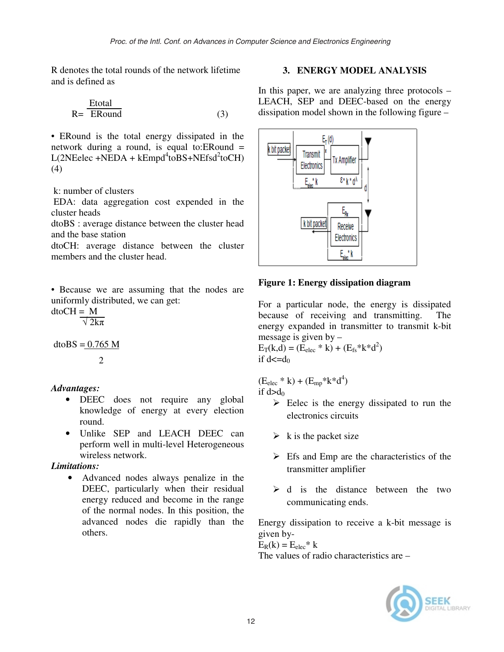R denotes the total rounds of the network lifetime and is defined as

$$
R = \frac{Etotal}{ERound}
$$
 (3)

• ERound is the total energy dissipated in the network during a round, is equal to:ERound =  $L(2NEelec + NEDA + kEmpd<sup>4</sup> to BS + NEfsd<sup>2</sup> to CH)$ (4)

k: number of clusters

 EDA: data aggregation cost expended in the cluster heads

dtoBS : average distance between the cluster head and the base station

dtoCH: average distance between the cluster members and the cluster head.

• Because we are assuming that the nodes are uniformly distributed, we can get:

 $d$ toCH = M  $\sqrt{2k\pi}$ 

 $dt$ o $BS = 0.765$  M

2

#### *Advantages:*

- DEEC does not require any global knowledge of energy at every election round.
- Unlike SEP and LEACH DEEC can perform well in multi-level Heterogeneous wireless network.

#### *Limitations:*

• Advanced nodes always penalize in the DEEC, particularly when their residual energy reduced and become in the range of the normal nodes. In this position, the advanced nodes die rapidly than the others.

## **3. ENERGY MODEL ANALYSIS**

In this paper, we are analyzing three protocols  $-$ LEACH, SEP and DEEC-based on the energy dissipation model shown in the following figure –



## **Figure 1: Energy dissipation diagram**

For a particular node, the energy is dissipated because of receiving and transmitting. The energy expanded in transmitter to transmit k-bit message is given by –

 $E_T(k,d) = (E_{elec} * k) + (E_{fs} * k * d^2)$ if  $d \leq d_0$ 

 $(E_{elec} * k) + (E_{mp} * k * d^4)$ 

if  $d > d_0$ 

- Eelec is the energy dissipated to run the electronics circuits
- $\triangleright$  k is the packet size
- > Efs and Emp are the characteristics of the transmitter amplifier
- $\triangleright$  d is the distance between the two communicating ends.

Energy dissipation to receive a k-bit message is given by-

 $E_R(k) = E_{elec} * k$ The values of radio characteristics are –

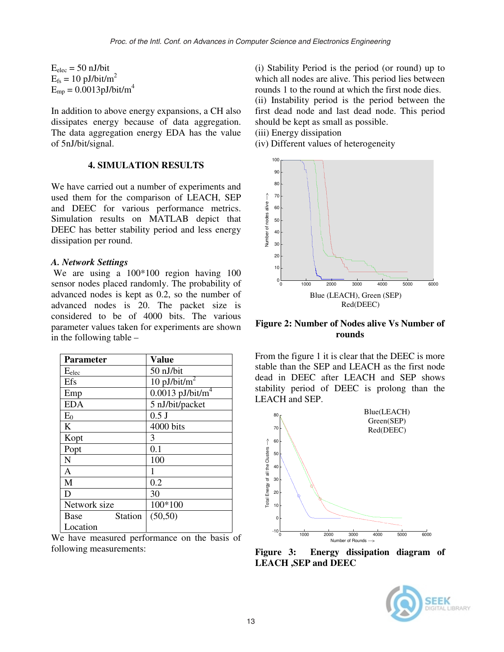$E_{elec} = 50$  nJ/bit  $E_{fs} = 10 \text{ pJ/bit/m}^2$  $E_{mp} = 0.0013 \text{pJ/bit/m}^4$ 

In addition to above energy expansions, a CH also dissipates energy because of data aggregation. The data aggregation energy EDA has the value of 5nJ/bit/signal.

#### **4. SIMULATION RESULTS**

We have carried out a number of experiments and used them for the comparison of LEACH, SEP and DEEC for various performance metrics. Simulation results on MATLAB depict that DEEC has better stability period and less energy dissipation per round.

#### *A. Network Settings*

 We are using a 100\*100 region having 100 sensor nodes placed randomly. The probability of advanced nodes is kept as 0.2, so the number of advanced nodes is 20. The packet size is considered to be of 4000 bits. The various parameter values taken for experiments are shown in the following table –

| <b>Parameter</b>       | <b>Value</b>                   |  |  |
|------------------------|--------------------------------|--|--|
| $E_{elec}$             | 50 nJ/bit                      |  |  |
| Efs                    | 10 pJ/bit/ $m^2$               |  |  |
| Emp                    | $0.0013$ pJ/bit/m <sup>4</sup> |  |  |
| <b>EDA</b>             | 5 nJ/bit/packet                |  |  |
| $E_0$                  | $0.5$ J                        |  |  |
| K                      | 4000 bits                      |  |  |
| Kopt                   | 3                              |  |  |
| Popt                   | 0.1                            |  |  |
| N                      | 100                            |  |  |
| A                      | 1                              |  |  |
| M                      | 0.2                            |  |  |
| D                      | 30                             |  |  |
| Network size           | 100*100                        |  |  |
| <b>Station</b><br>Base | (50, 50)                       |  |  |
| Location               |                                |  |  |

We have measured performance on the basis of following measurements:

(i) Stability Period is the period (or round) up to which all nodes are alive. This period lies between rounds 1 to the round at which the first node dies.

(ii) Instability period is the period between the first dead node and last dead node. This period should be kept as small as possible.

(iii) Energy dissipation

(iv) Different values of heterogeneity



**Figure 2: Number of Nodes alive Vs Number of rounds** 

From the figure 1 it is clear that the DEEC is more stable than the SEP and LEACH as the first node dead in DEEC after LEACH and SEP shows stability period of DEEC is prolong than the LEACH and SEP.



**Figure 3: Energy dissipation diagram of LEACH ,SEP and DEEC** 

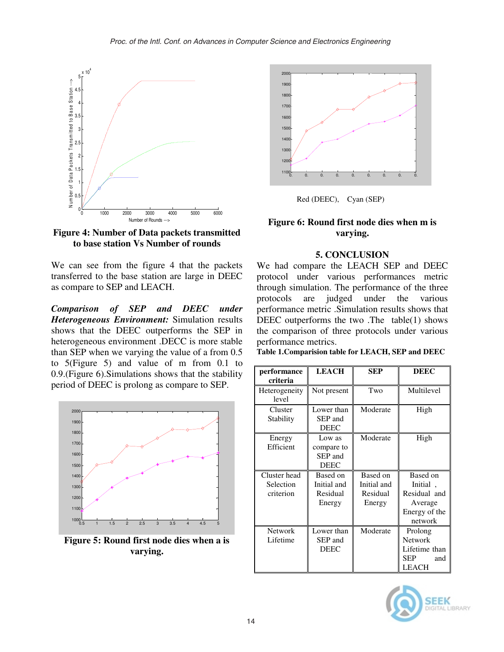

**Figure 4: Number of Data packets transmitted to base station Vs Number of rounds** 

We can see from the figure 4 that the packets transferred to the base station are large in DEEC as compare to SEP and LEACH.

*Comparison of SEP and DEEC under Heterogeneous Environment:* Simulation results shows that the DEEC outperforms the SEP in heterogeneous environment .DECC is more stable than SEP when we varying the value of a from 0.5 to 5(Figure 5) and value of m from 0.1 to 0.9.(Figure 6).Simulations shows that the stability period of DEEC is prolong as compare to SEP.



**Figure 5: Round first node dies when a is varying.** 



Red (DEEC), Cyan (SEP)

## **Figure 6: Round first node dies when m is varying.**

#### **5. CONCLUSION**

We had compare the LEACH SEP and DEEC protocol under various performances metric through simulation. The performance of the three protocols are judged under the various performance metric .Simulation results shows that DEEC outperforms the two .The table(1) shows the comparison of three protocols under various performance metrics.

**Table 1.Comparision table for LEACH, SEP and DEEC** 

| performance<br>criteria                | <b>LEACH</b>                                   | SEP                                           | <b>DEEC</b>                                                                     |
|----------------------------------------|------------------------------------------------|-----------------------------------------------|---------------------------------------------------------------------------------|
| Heterogeneity<br>level                 | Not present                                    | Two                                           | Multilevel                                                                      |
| Cluster<br>Stability                   | Lower than<br>SEP and<br><b>DEEC</b>           | Moderate                                      | High                                                                            |
| Energy<br>Efficient                    | Low as<br>compare to<br>SEP and<br><b>DEEC</b> | Moderate                                      | High                                                                            |
| Cluster head<br>Selection<br>criterion | Based on<br>Initial and<br>Residual<br>Energy  | Based on<br>Initial and<br>Residual<br>Energy | Based on<br>Initial,<br>Residual and<br>Average<br>Energy of the<br>network     |
| <b>Network</b><br>Lifetime             | Lower than<br>SEP and<br><b>DEEC</b>           | Moderate                                      | Prolong<br><b>Network</b><br>Lifetime than<br><b>SEP</b><br>and<br><b>LEACH</b> |